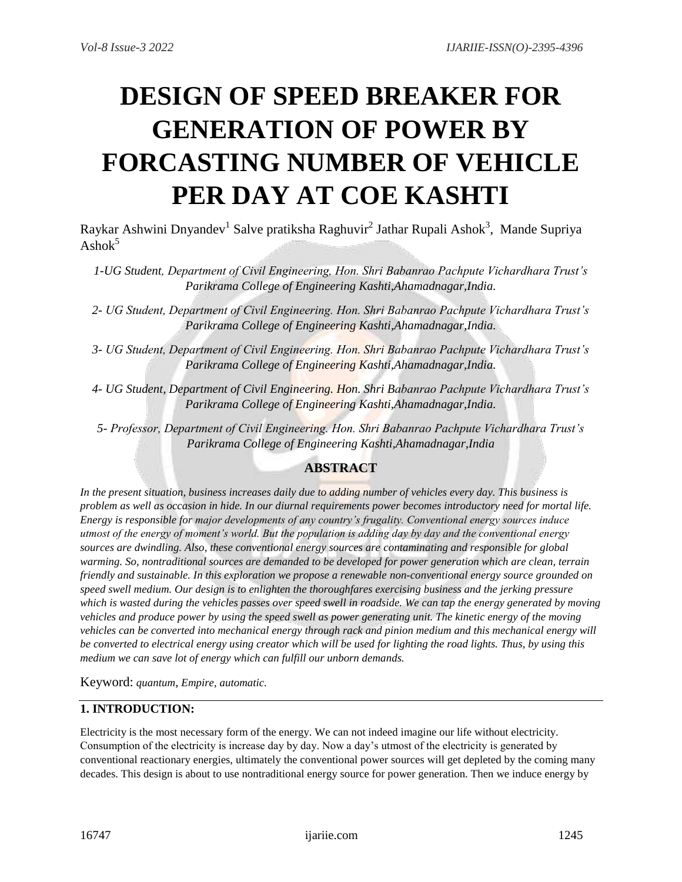# **DESIGN OF SPEED BREAKER FOR GENERATION OF POWER BY FORCASTING NUMBER OF VEHICLE PER DAY AT COE KASHTI**

Raykar Ashwini Dnyandev<sup>1</sup> Salve pratiksha Raghuvir<sup>2</sup> Jathar Rupali Ashok<sup>3</sup>, Mande Supriya  $\mathrm{Ashok}^5$ 

- *1-UG Student, Department of Civil Engineering, Hon. Shri Babanrao Pachpute Vichardhara Trust's Parikrama College of Engineering Kashti,Ahamadnagar,India.*
- *2- UG Student, Department of Civil Engineering. Hon. Shri Babanrao Pachpute Vichardhara Trust's Parikrama College of Engineering Kashti,Ahamadnagar,India.*
- *3- UG Student, Department of Civil Engineering. Hon. Shri Babanrao Pachpute Vichardhara Trust's Parikrama College of Engineering Kashti,Ahamadnagar,India.*
- *4- UG Student, Department of Civil Engineering. Hon. Shri Babanrao Pachpute Vichardhara Trust's Parikrama College of Engineering Kashti,Ahamadnagar,India.*

*5- Professor, Department of Civil Engineering. Hon. Shri Babanrao Pachpute Vichardhara Trust's Parikrama College of Engineering Kashti,Ahamadnagar,India*

## **ABSTRACT**

*In the present situation, business increases daily due to adding number of vehicles every day. This business is problem as well as occasion in hide. In our diurnal requirements power becomes introductory need for mortal life. Energy is responsible for major developments of any country's frugality. Conventional energy sources induce utmost of the energy of moment's world. But the population is adding day by day and the conventional energy sources are dwindling. Also, these conventional energy sources are contaminating and responsible for global warming. So, nontraditional sources are demanded to be developed for power generation which are clean, terrain friendly and sustainable. In this exploration we propose a renewable non-conventional energy source grounded on speed swell medium. Our design is to enlighten the thoroughfares exercising business and the jerking pressure which is wasted during the vehicles passes over speed swell in roadside. We can tap the energy generated by moving vehicles and produce power by using the speed swell as power generating unit. The kinetic energy of the moving vehicles can be converted into mechanical energy through rack and pinion medium and this mechanical energy will be converted to electrical energy using creator which will be used for lighting the road lights. Thus, by using this medium we can save lot of energy which can fulfill our unborn demands.*

Keyword: *quantum*, *Empire, automatic.*

## **1. INTRODUCTION:**

Electricity is the most necessary form of the energy. We can not indeed imagine our life without electricity. Consumption of the electricity is increase day by day. Now a day's utmost of the electricity is generated by conventional reactionary energies, ultimately the conventional power sources will get depleted by the coming many decades. This design is about to use nontraditional energy source for power generation. Then we induce energy by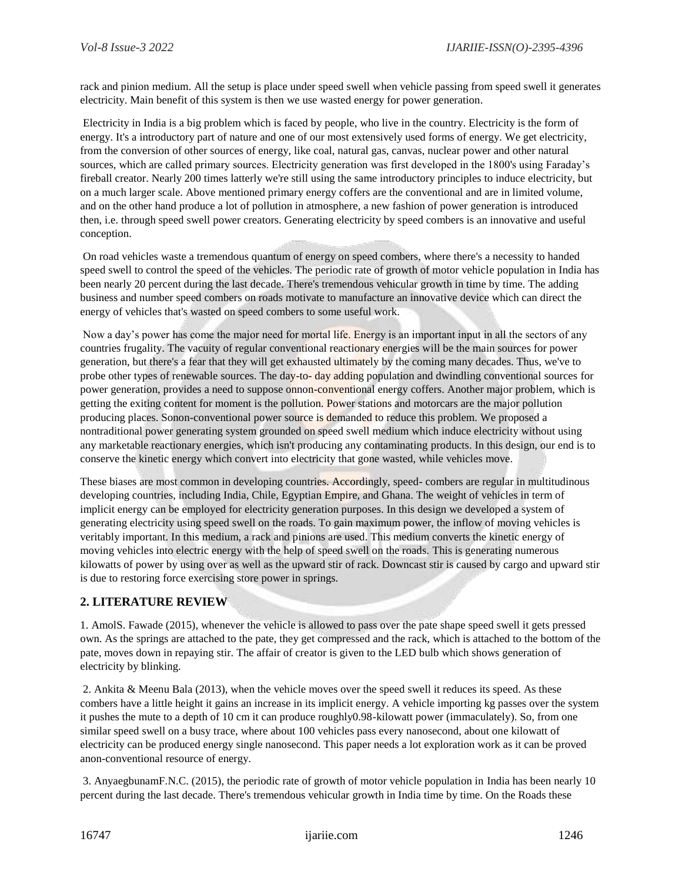rack and pinion medium. All the setup is place under speed swell when vehicle passing from speed swell it generates electricity. Main benefit of this system is then we use wasted energy for power generation.

Electricity in India is a big problem which is faced by people, who live in the country. Electricity is the form of energy. It's a introductory part of nature and one of our most extensively used forms of energy. We get electricity, from the conversion of other sources of energy, like coal, natural gas, canvas, nuclear power and other natural sources, which are called primary sources. Electricity generation was first developed in the 1800's using Faraday's fireball creator. Nearly 200 times latterly we're still using the same introductory principles to induce electricity, but on a much larger scale. Above mentioned primary energy coffers are the conventional and are in limited volume, and on the other hand produce a lot of pollution in atmosphere, a new fashion of power generation is introduced then, i.e. through speed swell power creators. Generating electricity by speed combers is an innovative and useful conception.

On road vehicles waste a tremendous quantum of energy on speed combers, where there's a necessity to handed speed swell to control the speed of the vehicles. The periodic rate of growth of motor vehicle population in India has been nearly 20 percent during the last decade. There's tremendous vehicular growth in time by time. The adding business and number speed combers on roads motivate to manufacture an innovative device which can direct the energy of vehicles that's wasted on speed combers to some useful work.

Now a day's power has come the major need for mortal life. Energy is an important input in all the sectors of any countries frugality. The vacuity of regular conventional reactionary energies will be the main sources for power generation, but there's a fear that they will get exhausted ultimately by the coming many decades. Thus, we've to probe other types of renewable sources. The day-to- day adding population and dwindling conventional sources for power generation, provides a need to suppose onnon-conventional energy coffers. Another major problem, which is getting the exiting content for moment is the pollution. Power stations and motorcars are the major pollution producing places. Sonon-conventional power source is demanded to reduce this problem. We proposed a nontraditional power generating system grounded on speed swell medium which induce electricity without using any marketable reactionary energies, which isn't producing any contaminating products. In this design, our end is to conserve the kinetic energy which convert into electricity that gone wasted, while vehicles move.

These biases are most common in developing countries. Accordingly, speed- combers are regular in multitudinous developing countries, including India, Chile, Egyptian Empire, and Ghana. The weight of vehicles in term of implicit energy can be employed for electricity generation purposes. In this design we developed a system of generating electricity using speed swell on the roads. To gain maximum power, the inflow of moving vehicles is veritably important. In this medium, a rack and pinions are used. This medium converts the kinetic energy of moving vehicles into electric energy with the help of speed swell on the roads. This is generating numerous kilowatts of power by using over as well as the upward stir of rack. Downcast stir is caused by cargo and upward stir is due to restoring force exercising store power in springs.

#### **2. LITERATURE REVIEW**

1. AmolS. Fawade (2015), whenever the vehicle is allowed to pass over the pate shape speed swell it gets pressed own. As the springs are attached to the pate, they get compressed and the rack, which is attached to the bottom of the pate, moves down in repaying stir. The affair of creator is given to the LED bulb which shows generation of electricity by blinking.

2. Ankita & Meenu Bala (2013), when the vehicle moves over the speed swell it reduces its speed. As these combers have a little height it gains an increase in its implicit energy. A vehicle importing kg passes over the system it pushes the mute to a depth of 10 cm it can produce roughly0.98-kilowatt power (immaculately). So, from one similar speed swell on a busy trace, where about 100 vehicles pass every nanosecond, about one kilowatt of electricity can be produced energy single nanosecond. This paper needs a lot exploration work as it can be proved anon-conventional resource of energy.

3. AnyaegbunamF.N.C. (2015), the periodic rate of growth of motor vehicle population in India has been nearly 10 percent during the last decade. There's tremendous vehicular growth in India time by time. On the Roads these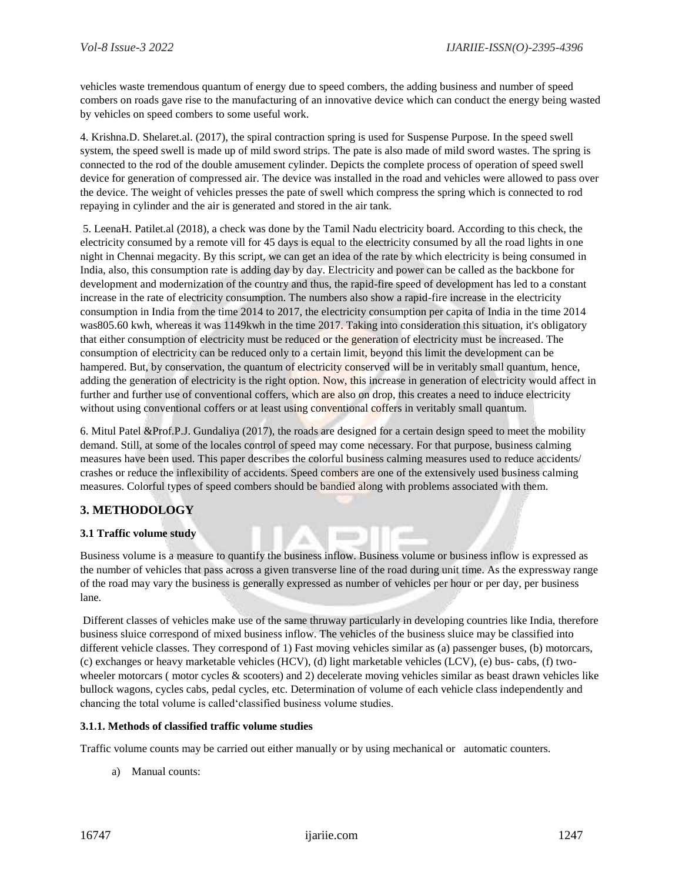vehicles waste tremendous quantum of energy due to speed combers, the adding business and number of speed combers on roads gave rise to the manufacturing of an innovative device which can conduct the energy being wasted by vehicles on speed combers to some useful work.

4. Krishna.D. Shelaret.al. (2017), the spiral contraction spring is used for Suspense Purpose. In the speed swell system, the speed swell is made up of mild sword strips. The pate is also made of mild sword wastes. The spring is connected to the rod of the double amusement cylinder. Depicts the complete process of operation of speed swell device for generation of compressed air. The device was installed in the road and vehicles were allowed to pass over the device. The weight of vehicles presses the pate of swell which compress the spring which is connected to rod repaying in cylinder and the air is generated and stored in the air tank.

5. LeenaH. Patilet.al (2018), a check was done by the Tamil Nadu electricity board. According to this check, the electricity consumed by a remote vill for 45 days is equal to the electricity consumed by all the road lights in one night in Chennai megacity. By this script, we can get an idea of the rate by which electricity is being consumed in India, also, this consumption rate is adding day by day. Electricity and power can be called as the backbone for development and modernization of the country and thus, the rapid-fire speed of development has led to a constant increase in the rate of electricity consumption. The numbers also show a rapid-fire increase in the electricity consumption in India from the time 2014 to 2017, the electricity consumption per capita of India in the time 2014 was805.60 kwh, whereas it was 1149kwh in the time 2017. Taking into consideration this situation, it's obligatory that either consumption of electricity must be reduced or the generation of electricity must be increased. The consumption of electricity can be reduced only to a certain limit, beyond this limit the development can be hampered. But, by conservation, the quantum of electricity conserved will be in veritably small quantum, hence, adding the generation of electricity is the right option. Now, this increase in generation of electricity would affect in further and further use of conventional coffers, which are also on drop, this creates a need to induce electricity without using conventional coffers or at least using conventional coffers in veritably small quantum.

6. Mitul Patel &Prof.P.J. Gundaliya (2017), the roads are designed for a certain design speed to meet the mobility demand. Still, at some of the locales control of speed may come necessary. For that purpose, business calming measures have been used. This paper describes the colorful business calming measures used to reduce accidents/ crashes or reduce the inflexibility of accidents. Speed combers are one of the extensively used business calming measures. Colorful types of speed combers should be bandied along with problems associated with them.

## **3. METHODOLOGY**

#### **3.1 Traffic volume study**

Business volume is a measure to quantify the business inflow. Business volume or business inflow is expressed as the number of vehicles that pass across a given transverse line of the road during unit time. As the expressway range of the road may vary the business is generally expressed as number of vehicles per hour or per day, per business lane.

Different classes of vehicles make use of the same thruway particularly in developing countries like India, therefore business sluice correspond of mixed business inflow. The vehicles of the business sluice may be classified into different vehicle classes. They correspond of 1) Fast moving vehicles similar as (a) passenger buses, (b) motorcars, (c) exchanges or heavy marketable vehicles (HCV), (d) light marketable vehicles (LCV), (e) bus- cabs, (f) twowheeler motorcars (motor cycles & scooters) and 2) decelerate moving vehicles similar as beast drawn vehicles like bullock wagons, cycles cabs, pedal cycles, etc. Determination of volume of each vehicle class independently and chancing the total volume is called'classified business volume studies.

#### **3.1.1. Methods of classified traffic volume studies**

Traffic volume counts may be carried out either manually or by using mechanical or automatic counters.

a) Manual counts: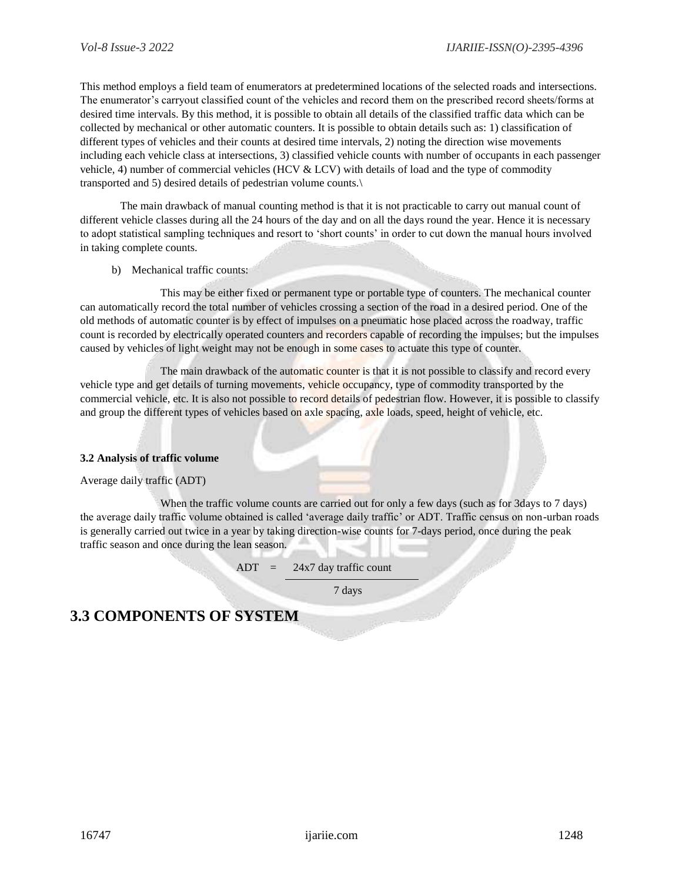This method employs a field team of enumerators at predetermined locations of the selected roads and intersections. The enumerator's carryout classified count of the vehicles and record them on the prescribed record sheets/forms at desired time intervals. By this method, it is possible to obtain all details of the classified traffic data which can be collected by mechanical or other automatic counters. It is possible to obtain details such as: 1) classification of different types of vehicles and their counts at desired time intervals, 2) noting the direction wise movements including each vehicle class at intersections, 3) classified vehicle counts with number of occupants in each passenger vehicle, 4) number of commercial vehicles (HCV & LCV) with details of load and the type of commodity transported and 5) desired details of pedestrian volume counts.\

The main drawback of manual counting method is that it is not practicable to carry out manual count of different vehicle classes during all the 24 hours of the day and on all the days round the year. Hence it is necessary to adopt statistical sampling techniques and resort to 'short counts' in order to cut down the manual hours involved in taking complete counts.

b) Mechanical traffic counts:

This may be either fixed or permanent type or portable type of counters. The mechanical counter can automatically record the total number of vehicles crossing a section of the road in a desired period. One of the old methods of automatic counter is by effect of impulses on a pneumatic hose placed across the roadway, traffic count is recorded by electrically operated counters and recorders capable of recording the impulses; but the impulses caused by vehicles of light weight may not be enough in some cases to actuate this type of counter.

The main drawback of the automatic counter is that it is not possible to classify and record every vehicle type and get details of turning movements, vehicle occupancy, type of commodity transported by the commercial vehicle, etc. It is also not possible to record details of pedestrian flow. However, it is possible to classify and group the different types of vehicles based on axle spacing, axle loads, speed, height of vehicle, etc.

#### **3.2 Analysis of traffic volume**

Average daily traffic (ADT)

When the traffic volume counts are carried out for only a few days (such as for 3days to 7 days) the average daily traffic volume obtained is called 'average daily traffic' or ADT. Traffic census on non-urban roads is generally carried out twice in a year by taking direction-wise counts for 7-days period, once during the peak traffic season and once during the lean season.

 $ADT = 24x7$  day traffic count

7 days

# **3.3 COMPONENTS OF SYSTEM**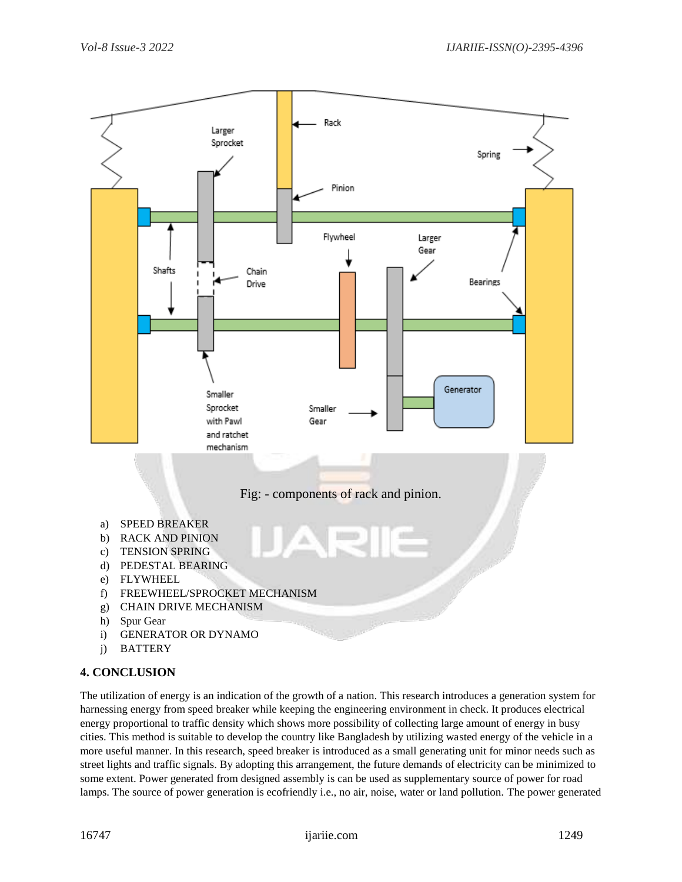

#### **4. CONCLUSION**

The utilization of energy is an indication of the growth of a nation. This research introduces a generation system for harnessing energy from speed breaker while keeping the engineering environment in check. It produces electrical energy proportional to traffic density which shows more possibility of collecting large amount of energy in busy cities. This method is suitable to develop the country like Bangladesh by utilizing wasted energy of the vehicle in a more useful manner. In this research, speed breaker is introduced as a small generating unit for minor needs such as street lights and traffic signals. By adopting this arrangement, the future demands of electricity can be minimized to some extent. Power generated from designed assembly is can be used as supplementary source of power for road lamps. The source of power generation is ecofriendly i.e., no air, noise, water or land pollution. The power generated